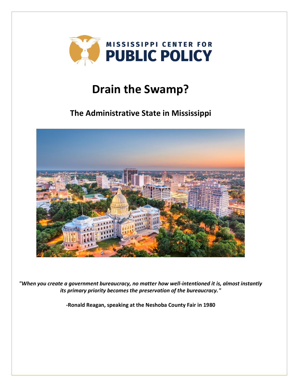

# **Drain the Swamp?**

## **The Administrative State in Mississippi**



*"When you create a government bureaucracy, no matter how well-intentioned it is, almost instantly its primary priority becomes the preservation of the bureaucracy."*

**-Ronald Reagan, speaking at the Neshoba County Fair in 1980**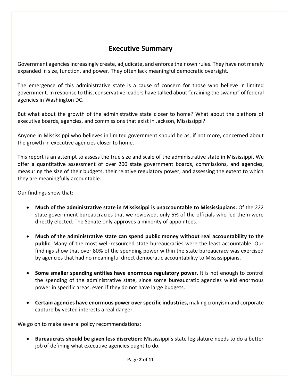## **Executive Summary**

Government agencies increasingly create, adjudicate, and enforce their own rules. They have not merely expanded in size, function, and power. They often lack meaningful democratic oversight.

The emergence of this administrative state is a cause of concern for those who believe in limited government. In response to this, conservative leaders have talked about "draining the swamp" of federal agencies in Washington DC.

But what about the growth of the administrative state closer to home? What about the plethora of executive boards, agencies, and commissions that exist in Jackson, Mississippi?

Anyone in Mississippi who believes in limited government should be as, if not more, concerned about the growth in executive agencies closer to home.

This report is an attempt to assess the true size and scale of the administrative state in Mississippi. We offer a quantitative assessment of over 200 state government boards, commissions, and agencies, measuring the size of their budgets, their relative regulatory power, and assessing the extent to which they are meaningfully accountable.

Our findings show that:

- **Much of the administrative state in Mississippi is unaccountable to Mississippians.** Of the 222 state government bureaucracies that we reviewed, only 5% of the officials who led them were directly elected. The Senate only approves a minority of appointees.
- **Much of the administrative state can spend public money without real accountability to the public**. Many of the most well-resourced state bureaucracies were the least accountable. Our findings show that over 80% of the spending power within the state bureaucracy was exercised by agencies that had no meaningful direct democratic accountability to Mississippians.
- **Some smaller spending entities have enormous regulatory power.** It is not enough to control the spending of the administrative state, since some bureaucratic agencies wield enormous power in specific areas, even if they do not have large budgets.
- **Certain agencies have enormous power over specific industries,** making cronyism and corporate capture by vested interests a real danger.

We go on to make several policy recommendations:

• **Bureaucrats should be given less discretion:** Mississippi's state legislature needs to do a better job of defining what executive agencies ought to do.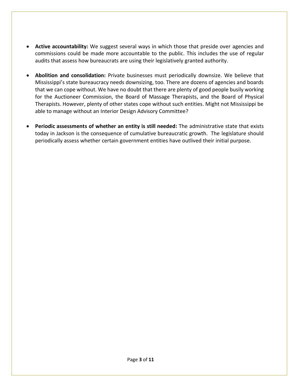- **Active accountability:** We suggest several ways in which those that preside over agencies and commissions could be made more accountable to the public. This includes the use of regular audits that assess how bureaucrats are using their legislatively granted authority.
- **Abolition and consolidation:** Private businesses must periodically downsize. We believe that Mississippi's state bureaucracy needs downsizing, too. There are dozens of agencies and boards that we can cope without. We have no doubt that there are plenty of good people busily working for the Auctioneer Commission, the Board of Massage Therapists, and the Board of Physical Therapists. However, plenty of other states cope without such entities. Might not Mississippi be able to manage without an Interior Design Advisory Committee?
- **Periodic assessments of whether an entity is still needed:** The administrative state that exists today in Jackson is the consequence of cumulative bureaucratic growth. The legislature should periodically assess whether certain government entities have outlived their initial purpose.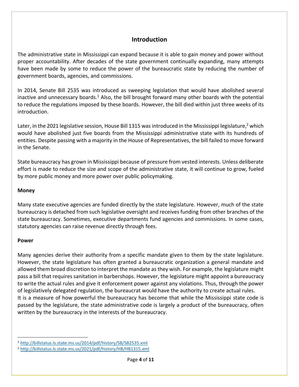#### **Introduction**

The administrative state in Mississippi can expand because it is able to gain money and power without proper accountability. After decades of the state government continually expanding, many attempts have been made by some to reduce the power of the bureaucratic state by reducing the number of government boards, agencies, and commissions.

In 2014, Senate Bill 2535 was introduced as sweeping legislation that would have abolished several inactive and unnecessary boards.<sup>1</sup> Also, the bill brought forward many other boards with the potential to reduce the regulations imposed by these boards. However, the bill died within just three weeks of its introduction.

Later, in the 2021 legislative session, House Bill 1315 was introduced in the Mississippi legislature,<sup>2</sup> which would have abolished just five boards from the Mississippi administrative state with its hundreds of entities. Despite passing with a majority in the House of Representatives, the bill failed to move forward in the Senate.

State bureaucracy has grown in Mississippi because of pressure from vested interests. Unless deliberate effort is made to reduce the size and scope of the administrative state, it will continue to grow, fueled by more public money and more power over public policymaking.

#### **Money**

Many state executive agencies are funded directly by the state legislature. However, much of the state bureaucracy is detached from such legislative oversight and receives funding from other branches of the state bureaucracy. Sometimes, executive departments fund agencies and commissions. In some cases, statutory agencies can raise revenue directly through fees.

#### **Power**

Many agencies derive their authority from a specific mandate given to them by the state legislature. However, the state legislature has often granted a bureaucratic organization a general mandate and allowed them broad discretion to interpret the mandate as they wish. For example, the legislature might pass a bill that requires sanitation in barbershops. However, the legislature might appoint a bureaucracy to write the actual rules and give it enforcement power against any violations. Thus, through the power of legislatively delegated regulation, the bureaucrat would have the authority to create actual rules. It is a measure of how powerful the bureaucracy has become that while the Mississippi state code is passed by the legislature, the state administrative code is largely a product of the bureaucracy, often written by the bureaucracy in the interests of the bureaucracy.

<sup>1</sup> <http://billstatus.ls.state.ms.us/2014/pdf/history/SB/SB2535.xml>

<sup>2</sup> <http://billstatus.ls.state.ms.us/2021/pdf/history/HB/HB1315.xml>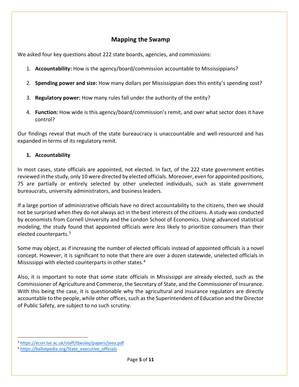## **Mapping the Swamp**

We asked four key questions about 222 state boards, agencies, and commissions:

- 1. **Accountability:** How is the agency/board/commission accountable to Mississippians?
- 2. **Spending power and size:** How many dollars per Mississippian does this entity's spending cost?
- 3. **Regulatory power:** How many rules fall under the authority of the entity?
- 4. **Function:** How wide is this agency/board/commission's remit, and over what sector does it have control?

Our findings reveal that much of the state bureaucracy is unaccountable and well-resourced and has expanded in terms of its regulatory remit.

#### **1. Accountability**

In most cases, state officials are appointed, not elected. In fact, of the 222 state government entities reviewed in the study, only 10 were directed by elected officials. Moreover, even for appointed positions, 75 are partially or entirely selected by other unelected individuals, such as state government bureaucrats, university administrators, and business leaders.

If a large portion of administrative officials have no direct accountability to the citizens, then we should not be surprised when they do not always act in the best interests of the citizens. A study was conducted by economists from Cornell University and the London School of Economics. Using advanced statistical modeling, the study found that appointed officials were *less* likely to prioritize consumers than their elected counterparts.<sup>3</sup>

Some may object, as if increasing the number of elected officials instead of appointed officials is a novel concept. However, it is significant to note that there are over a dozen statewide, unelected officials in Mississippi with elected counterparts in other states.<sup>4</sup>

Also, it is important to note that some state officials in Mississippi are already elected, such as the Commissioner of Agriculture and Commerce, the Secretary of State, and the Commissioner of Insurance. With this being the case, it is questionable why the agricultural and insurance regulators are directly accountable to the people, while other offices, such as the Superintendent of Education and the Director of Public Safety, are subject to no such scrutiny.

<sup>3</sup> <https://econ.lse.ac.uk/staff/tbesley/papers/jeea.pdf>

<sup>4</sup> [https://ballotpedia.org/State\\_executive\\_officials](https://ballotpedia.org/State_executive_officials)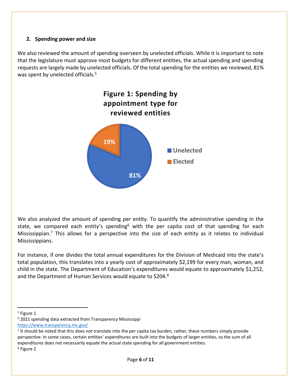#### **2. Spending power and size**

We also reviewed the amount of spending overseen by unelected officials. While it is important to note that the legislature must approve most budgets for different entities, the actual spending and spending requests are largely made by unelected officials. Of the total spending for the entities we reviewed, 81% was spent by unelected officials.<sup>5</sup>



We also analyzed the amount of spending per entity. To quantify the administrative spending in the state, we compared each entity's spending<sup>6</sup> with the per capita cost of that spending for each Mississippian.<sup>7</sup> This allows for a perspective into the size of each entity as it relates to individual Mississippians.

For instance, if one divides the total annual expenditures for the Division of Medicaid into the state's total population, this translates into a yearly cost of approximately \$2,199 for every man, woman, and child in the state. The Department of Education's expenditures would equate to approximately \$1,252, and the Department of Human Services would equate to \$204.8

<sup>6</sup> 2021 spending data extracted from Transparency Mississippi

<sup>5</sup> Figure 1

<https://www.transparency.ms.gov/>

<sup>&</sup>lt;sup>7</sup> It should be noted that this does not translate into the per capita tax burden, rather, these numbers simply provide perspective. In some cases, certain entities' expenditures are built into the budgets of larger entities, so the sum of all expenditures does not necessarily equate the actual state spending for all government entities.

<sup>8</sup> Figure 2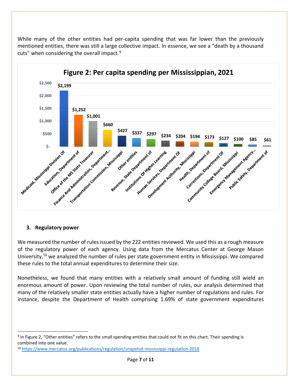While many of the other entities had per-capita spending that was far lower than the previously mentioned entities, there was still a large collective impact. In essence, we see a "death by a thousand cuts" when considering the overall impact.<sup>9</sup>



#### **3. Regulatory power**

We measured the number of rules issued by the 222 entities reviewed. We used this as a rough measure of the regulatory power of each agency. Using data from the Mercatus Center at George Mason University,<sup>10</sup> we analyzed the number of rules per state government entity in Mississippi. We compared these rules to the total annual expenditures to determine their size.

Nonetheless, we found that many entities with a relatively small amount of funding still wield an enormous amount of power. Upon reviewing the total number of rules, our analysis determined that many of the relatively smaller state entities actually have a higher number of regulations and rules. For instance, despite the Department of Health comprising 1.69% of state government expenditures

<sup>&</sup>lt;sup>9</sup> In Figure 2, "Other entities" refers to the small spending entities that could not fit on this chart. Their spending is combined into one value.

<sup>10</sup> <https://www.mercatus.org/publications/regulation/snapshot-mississippi-regulation-2018>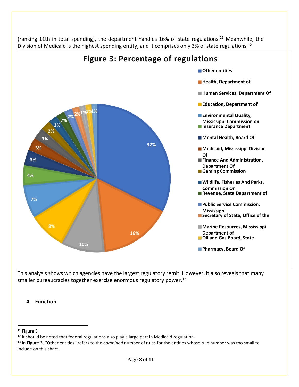

(ranking 11th in total spending), the department handles 16% of state regulations.<sup>11</sup> Meanwhile, the Division of Medicaid is the highest spending entity, and it comprises only 3% of state regulations.<sup>12</sup>

This analysis shows which agencies have the largest regulatory remit. However, it also reveals that many smaller bureaucracies together exercise enormous regulatory power.<sup>13</sup>

### **4. Function**

<sup>11</sup> Figure 3

<sup>&</sup>lt;sup>12</sup> It should be noted that federal regulations also play a large part in Medicaid regulation.

<sup>13</sup> In Figure 3, "Other entities" refers to the *combined* number of rules for the entities whose rule number was too small to include on this chart.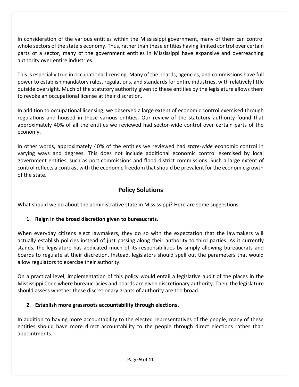In consideration of the various entities within the Mississippi government, many of them can control whole sectors of the state's economy. Thus, rather than these entities having limited control over certain parts of a sector, many of the government entities in Mississippi have expansive and overreaching authority over entire industries.

This is especially true in occupational licensing. Many of the boards, agencies, and commissions have full power to establish mandatory rules, regulations, and standards for entire industries, with relatively little outside oversight. Much of the statutory authority given to these entities by the legislature allows them to revoke an occupational license at their discretion.

In addition to occupational licensing, we observed a large extent of economic control exercised through regulations and housed in these various entities. Our review of the statutory authority found that approximately 40% of all the entities we reviewed had sector-wide control over certain parts of the economy.

In other words, approximately 40% of the entities we reviewed had *state-wide* economic control in varying ways and degrees. This does not include additional economic control exercised by local government entities, such as port commissions and flood district commissions. Such a large extent of control reflects a contrast with the economic freedom that should be prevalent for the economic growth of the state.

## **Policy Solutions**

What should we do about the administrative state in Mississippi? Here are some suggestions:

#### **1. Reign in the broad discretion given to bureaucrats.**

When everyday citizens elect lawmakers, they do so with the expectation that the lawmakers will actually establish policies instead of just passing along their authority to third parties. As it currently stands, the legislature has abdicated much of its responsibilities by simply allowing bureaucrats and boards to regulate at their discretion. Instead, legislators should spell out the parameters that would allow regulators to exercise their authority.

On a practical level, implementation of this policy would entail a legislative audit of the places in the Mississippi Code where bureaucracies and boards are given discretionary authority. Then, the legislature should assess whether these discretionary grants of authority are too broad.

#### **2. Establish more grassroots accountability through elections.**

In addition to having more accountability to the elected representatives of the people, many of these entities should have more direct accountability to the people through direct elections rather than appointments.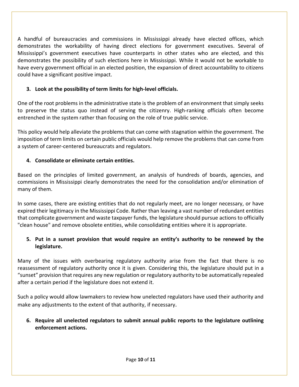A handful of bureaucracies and commissions in Mississippi already have elected offices, which demonstrates the workability of having direct elections for government executives. Several of Mississippi's government executives have counterparts in other states who are elected, and this demonstrates the possibility of such elections here in Mississippi. While it would not be workable to have every government official in an elected position, the expansion of direct accountability to citizens could have a significant positive impact.

#### **3. Look at the possibility of term limits for high-level officials.**

One of the root problems in the administrative state is the problem of an environment that simply seeks to preserve the status quo instead of serving the citizenry. High-ranking officials often become entrenched in the system rather than focusing on the role of true public service.

This policy would help alleviate the problems that can come with stagnation within the government. The imposition of term limits on certain public officials would help remove the problems that can come from a system of career-centered bureaucrats and regulators.

#### **4. Consolidate or eliminate certain entities.**

Based on the principles of limited government, an analysis of hundreds of boards, agencies, and commissions in Mississippi clearly demonstrates the need for the consolidation and/or elimination of many of them.

In some cases, there are existing entities that do not regularly meet, are no longer necessary, or have expired their legitimacy in the Mississippi Code. Rather than leaving a vast number of redundant entities that complicate government and waste taxpayer funds, the legislature should pursue actions to officially "clean house" and remove obsolete entities, while consolidating entities where it is appropriate.

#### **5. Put in a sunset provision that would require an entity's authority to be renewed by the legislature.**

Many of the issues with overbearing regulatory authority arise from the fact that there is no reassessment of regulatory authority once it is given. Considering this, the legislature should put in a "sunset" provision that requires any new regulation or regulatory authority to be automatically repealed after a certain period if the legislature does not extend it.

Such a policy would allow lawmakers to review how unelected regulators have used their authority and make any adjustments to the extent of that authority, if necessary.

**6. Require all unelected regulators to submit annual public reports to the legislature outlining enforcement actions.**